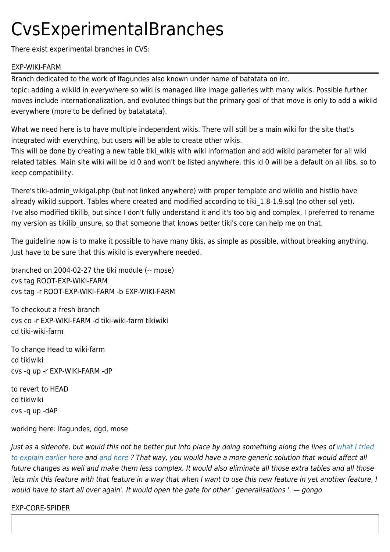## CvsExperimentalBranches

There exist experimental branches in CVS:

## EXP-WIKI-FARM

Branch dedicated to the work of lfagundes also known under name of batatata on irc. topic: adding a wikiId in everywhere so wiki is managed like image galleries with many wikis. Possible further moves include internationalization, and evoluted things but the primary goal of that move is only to add a wikiId everywhere (more to be defined by batatatata).

What we need here is to have multiple independent wikis. There will still be a main wiki for the site that's integrated with everything, but users will be able to create other wikis.

This will be done by creating a new table tiki wikis with wiki information and add wikiId parameter for all wiki related tables. Main site wiki will be id 0 and won't be listed anywhere, this id 0 will be a default on all libs, so to keep compatibility.

There's tiki-admin\_wikigal.php (but not linked anywhere) with proper template and wikilib and histlib have already wikild support. Tables where created and modified according to tiki 1.8-1.9.sql (no other sql yet). I've also modified tikilib, but since I don't fully understand it and it's too big and complex, I preferred to rename my version as tikilib unsure, so that someone that knows better tiki's core can help me on that.

The guideline now is to make it possible to have many tikis, as simple as possible, without breaking anything. Just have to be sure that this wikild is everywhere needed.

branched on 2004-02-27 the tiki module (-- mose) cvs tag ROOT-EXP-WIKI-FARM cvs tag -r ROOT-EXP-WIKI-FARM -b EXP-WIKI-FARM

To checkout a fresh branch cvs co -r EXP-WIKI-FARM -d tiki-wiki-farm tikiwiki cd tiki-wiki-farm

To change Head to wiki-farm cd tikiwiki cvs -q up -r EXP-WIKI-FARM -dP

to revert to HEAD cd tikiwiki cvs -q up -dAP

working here: lfagundes, dgd, mose

Just as a sidenote, but would this not be better put into place by doing something along the lines of [what I tried](http://tiki.org/tiki-index.php?page=GongosViewOnCoreAndTiki&pagenum=4) [to explain earlier](http://tiki.org/tiki-index.php?page=GongosViewOnCoreAndTiki&pagenum=4) [here](http://tiki.org/tiki-index.php?page=GongosViewOnCoreAndTiki&pagenum=5) and [and here](http://tiki.org/tiki-index.php?page=GongosViewOnCoreAndTiki&pagenum=6) ? That way, you would have a more generic solution that would affect all future changes as well and make them less complex. It would also eliminate all those extra tables and all those 'lets mix this feature with that feature in a way that when I want to use this new feature in yet another feature, I would have to start all over again'. It would open the gate for other ' generalisations '. — gongo

EXP-CORE-SPIDER